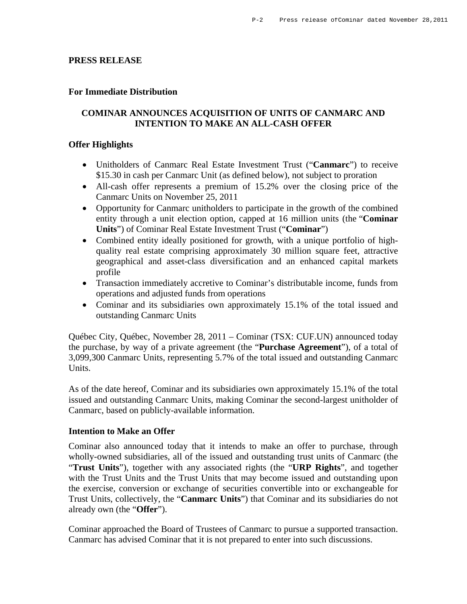### **PRESS RELEASE**

### **For Immediate Distribution**

## **COMINAR ANNOUNCES ACQUISITION OF UNITS OF CANMARC AND INTENTION TO MAKE AN ALL-CASH OFFER**

#### **Offer Highlights**

- Unitholders of Canmarc Real Estate Investment Trust ("**Canmarc**") to receive \$15.30 in cash per Canmarc Unit (as defined below), not subject to proration
- All-cash offer represents a premium of 15.2% over the closing price of the Canmarc Units on November 25, 2011
- Opportunity for Canmarc unitholders to participate in the growth of the combined entity through a unit election option, capped at 16 million units (the "**Cominar Units**") of Cominar Real Estate Investment Trust ("**Cominar**")
- Combined entity ideally positioned for growth, with a unique portfolio of highquality real estate comprising approximately 30 million square feet, attractive geographical and asset-class diversification and an enhanced capital markets profile
- Transaction immediately accretive to Cominar's distributable income, funds from operations and adjusted funds from operations
- Cominar and its subsidiaries own approximately 15.1% of the total issued and outstanding Canmarc Units

Québec City, Québec, November 28, 2011 – Cominar (TSX: CUF.UN) announced today the purchase, by way of a private agreement (the "**Purchase Agreement**"), of a total of 3,099,300 Canmarc Units, representing 5.7% of the total issued and outstanding Canmarc Units.

As of the date hereof, Cominar and its subsidiaries own approximately 15.1% of the total issued and outstanding Canmarc Units, making Cominar the second-largest unitholder of Canmarc, based on publicly-available information.

#### **Intention to Make an Offer**

Cominar also announced today that it intends to make an offer to purchase, through wholly-owned subsidiaries, all of the issued and outstanding trust units of Canmarc (the "**Trust Units**"), together with any associated rights (the "**URP Rights**", and together with the Trust Units and the Trust Units that may become issued and outstanding upon the exercise, conversion or exchange of securities convertible into or exchangeable for Trust Units, collectively, the "**Canmarc Units**") that Cominar and its subsidiaries do not already own (the "**Offer**").

Cominar approached the Board of Trustees of Canmarc to pursue a supported transaction. Canmarc has advised Cominar that it is not prepared to enter into such discussions.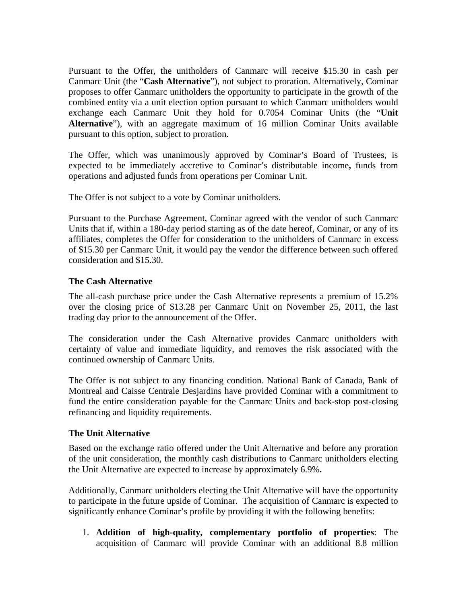Pursuant to the Offer, the unitholders of Canmarc will receive \$15.30 in cash per Canmarc Unit (the "**Cash Alternative**"), not subject to proration. Alternatively, Cominar proposes to offer Canmarc unitholders the opportunity to participate in the growth of the combined entity via a unit election option pursuant to which Canmarc unitholders would exchange each Canmarc Unit they hold for 0.7054 Cominar Units (the "**Unit Alternative**"), with an aggregate maximum of 16 million Cominar Units available pursuant to this option, subject to proration.

The Offer, which was unanimously approved by Cominar's Board of Trustees, is expected to be immediately accretive to Cominar's distributable income**,** funds from operations and adjusted funds from operations per Cominar Unit.

The Offer is not subject to a vote by Cominar unitholders.

Pursuant to the Purchase Agreement, Cominar agreed with the vendor of such Canmarc Units that if, within a 180-day period starting as of the date hereof, Cominar, or any of its affiliates, completes the Offer for consideration to the unitholders of Canmarc in excess of \$15.30 per Canmarc Unit, it would pay the vendor the difference between such offered consideration and \$15.30.

## **The Cash Alternative**

The all-cash purchase price under the Cash Alternative represents a premium of 15.2% over the closing price of \$13.28 per Canmarc Unit on November 25, 2011, the last trading day prior to the announcement of the Offer.

The consideration under the Cash Alternative provides Canmarc unitholders with certainty of value and immediate liquidity, and removes the risk associated with the continued ownership of Canmarc Units.

The Offer is not subject to any financing condition. National Bank of Canada, Bank of Montreal and Caisse Centrale Desjardins have provided Cominar with a commitment to fund the entire consideration payable for the Canmarc Units and back-stop post-closing refinancing and liquidity requirements.

### **The Unit Alternative**

Based on the exchange ratio offered under the Unit Alternative and before any proration of the unit consideration, the monthly cash distributions to Canmarc unitholders electing the Unit Alternative are expected to increase by approximately 6.9%**.**

Additionally, Canmarc unitholders electing the Unit Alternative will have the opportunity to participate in the future upside of Cominar. The acquisition of Canmarc is expected to significantly enhance Cominar's profile by providing it with the following benefits:

1. **Addition of high-quality, complementary portfolio of properties**: The acquisition of Canmarc will provide Cominar with an additional 8.8 million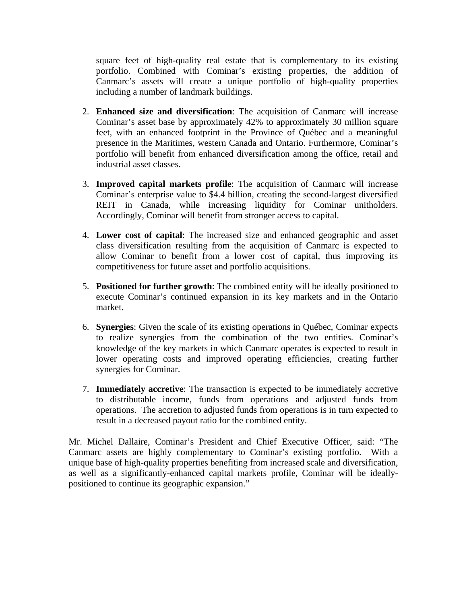square feet of high-quality real estate that is complementary to its existing portfolio. Combined with Cominar's existing properties, the addition of Canmarc's assets will create a unique portfolio of high-quality properties including a number of landmark buildings.

- 2. **Enhanced size and diversification**: The acquisition of Canmarc will increase Cominar's asset base by approximately 42% to approximately 30 million square feet, with an enhanced footprint in the Province of Québec and a meaningful presence in the Maritimes, western Canada and Ontario. Furthermore, Cominar's portfolio will benefit from enhanced diversification among the office, retail and industrial asset classes.
- 3. **Improved capital markets profile**: The acquisition of Canmarc will increase Cominar's enterprise value to \$4.4 billion, creating the second-largest diversified REIT in Canada, while increasing liquidity for Cominar unitholders. Accordingly, Cominar will benefit from stronger access to capital.
- 4. **Lower cost of capital**: The increased size and enhanced geographic and asset class diversification resulting from the acquisition of Canmarc is expected to allow Cominar to benefit from a lower cost of capital, thus improving its competitiveness for future asset and portfolio acquisitions.
- 5. **Positioned for further growth**: The combined entity will be ideally positioned to execute Cominar's continued expansion in its key markets and in the Ontario market.
- 6. **Synergies**: Given the scale of its existing operations in Québec, Cominar expects to realize synergies from the combination of the two entities. Cominar's knowledge of the key markets in which Canmarc operates is expected to result in lower operating costs and improved operating efficiencies, creating further synergies for Cominar.
- 7. **Immediately accretive**: The transaction is expected to be immediately accretive to distributable income, funds from operations and adjusted funds from operations. The accretion to adjusted funds from operations is in turn expected to result in a decreased payout ratio for the combined entity.

Mr. Michel Dallaire, Cominar's President and Chief Executive Officer, said: "The Canmarc assets are highly complementary to Cominar's existing portfolio. With a unique base of high-quality properties benefiting from increased scale and diversification, as well as a significantly-enhanced capital markets profile, Cominar will be ideallypositioned to continue its geographic expansion."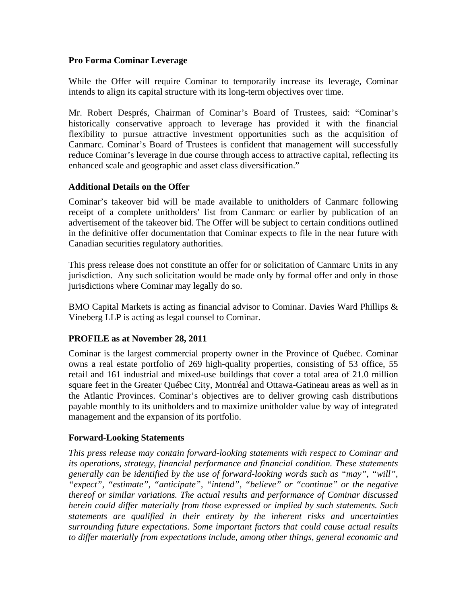## **Pro Forma Cominar Leverage**

While the Offer will require Cominar to temporarily increase its leverage, Cominar intends to align its capital structure with its long-term objectives over time.

Mr. Robert Després, Chairman of Cominar's Board of Trustees, said: "Cominar's historically conservative approach to leverage has provided it with the financial flexibility to pursue attractive investment opportunities such as the acquisition of Canmarc. Cominar's Board of Trustees is confident that management will successfully reduce Cominar's leverage in due course through access to attractive capital, reflecting its enhanced scale and geographic and asset class diversification."

## **Additional Details on the Offer**

Cominar's takeover bid will be made available to unitholders of Canmarc following receipt of a complete unitholders' list from Canmarc or earlier by publication of an advertisement of the takeover bid. The Offer will be subject to certain conditions outlined in the definitive offer documentation that Cominar expects to file in the near future with Canadian securities regulatory authorities.

This press release does not constitute an offer for or solicitation of Canmarc Units in any jurisdiction. Any such solicitation would be made only by formal offer and only in those jurisdictions where Cominar may legally do so.

BMO Capital Markets is acting as financial advisor to Cominar. Davies Ward Phillips & Vineberg LLP is acting as legal counsel to Cominar.

# **PROFILE as at November 28, 2011**

Cominar is the largest commercial property owner in the Province of Québec. Cominar owns a real estate portfolio of 269 high-quality properties, consisting of 53 office, 55 retail and 161 industrial and mixed-use buildings that cover a total area of 21.0 million square feet in the Greater Québec City, Montréal and Ottawa-Gatineau areas as well as in the Atlantic Provinces. Cominar's objectives are to deliver growing cash distributions payable monthly to its unitholders and to maximize unitholder value by way of integrated management and the expansion of its portfolio.

### **Forward-Looking Statements**

*This press release may contain forward-looking statements with respect to Cominar and its operations, strategy, financial performance and financial condition. These statements generally can be identified by the use of forward-looking words such as "may", "will", "expect", "estimate", "anticipate", "intend", "believe" or "continue" or the negative thereof or similar variations. The actual results and performance of Cominar discussed herein could differ materially from those expressed or implied by such statements. Such statements are qualified in their entirety by the inherent risks and uncertainties surrounding future expectations. Some important factors that could cause actual results to differ materially from expectations include, among other things, general economic and*